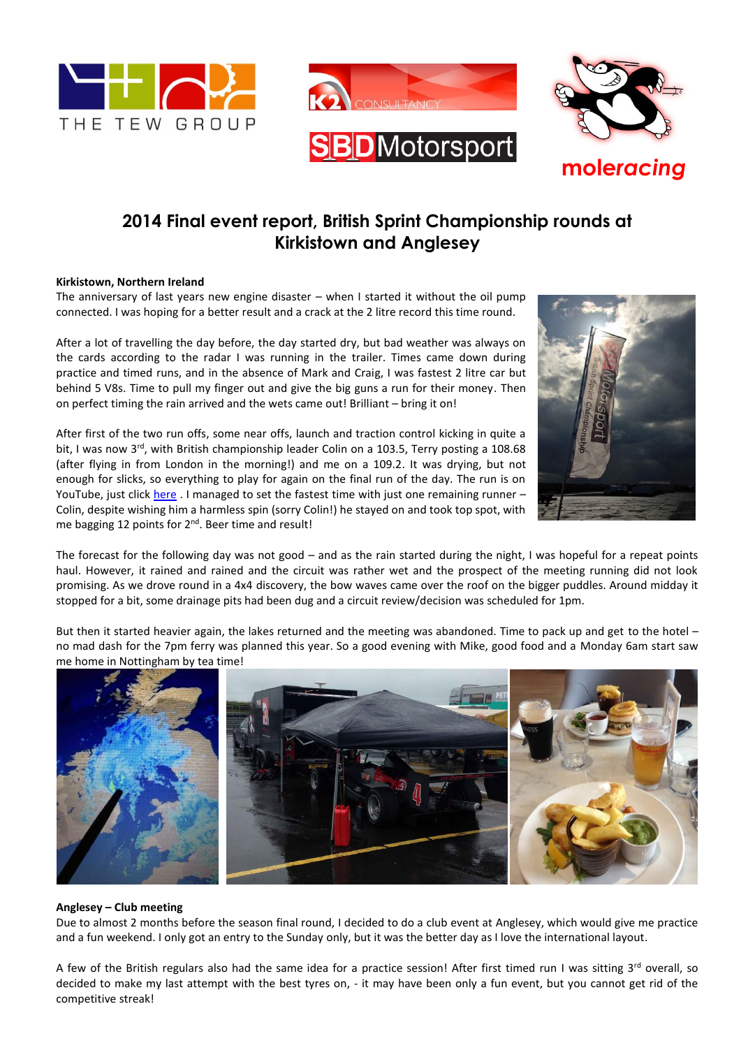



# **2014 Final event report, British Sprint Championship rounds at Kirkistown and Anglesey**

### **Kirkistown, Northern Ireland**

The anniversary of last years new engine disaster  $-$  when I started it without the oil pump connected. I was hoping for a better result and a crack at the 2 litre record this time round.

After a lot of travelling the day before, the day started dry, but bad weather was always on the cards according to the radar I was running in the trailer. Times came down during practice and timed runs, and in the absence of Mark and Craig, I was fastest 2 litre car but behind 5 V8s. Time to pull my finger out and give the big guns a run for their money. Then on perfect timing the rain arrived and the wets came out! Brilliant – bring it on!

After first of the two run offs, some near offs, launch and traction control kicking in quite a bit, I was now  $3^{rd}$ , with British championship leader Colin on a 103.5, Terry posting a 108.68 (after flying in from London in the morning!) and me on a 109.2. It was drying, but not enough for slicks, so everything to play for again on the final run of the day. The run is on YouTube, just click [here](https://www.youtube.com/watch?v=96mEHtFcJ58&list=UUw-mS48mesUvbmruOdQc3iA) . I managed to set the fastest time with just one remaining runner – Colin, despite wishing him a harmless spin (sorry Colin!) he stayed on and took top spot, with me bagging 12 points for 2<sup>nd</sup>. Beer time and result!



The forecast for the following day was not good – and as the rain started during the night, I was hopeful for a repeat points haul. However, it rained and rained and the circuit was rather wet and the prospect of the meeting running did not look promising. As we drove round in a 4x4 discovery, the bow waves came over the roof on the bigger puddles. Around midday it stopped for a bit, some drainage pits had been dug and a circuit review/decision was scheduled for 1pm.

But then it started heavier again, the lakes returned and the meeting was abandoned. Time to pack up and get to the hotel – no mad dash for the 7pm ferry was planned this year. So a good evening with Mike, good food and a Monday 6am start saw me home in Nottingham by tea time!



#### **Anglesey – Club meeting**

Due to almost 2 months before the season final round, I decided to do a club event at Anglesey, which would give me practice and a fun weekend. I only got an entry to the Sunday only, but it was the better day as I love the international layout.

A few of the British regulars also had the same idea for a practice session! After first timed run I was sitting 3rd overall, so decided to make my last attempt with the best tyres on, - it may have been only a fun event, but you cannot get rid of the competitive streak!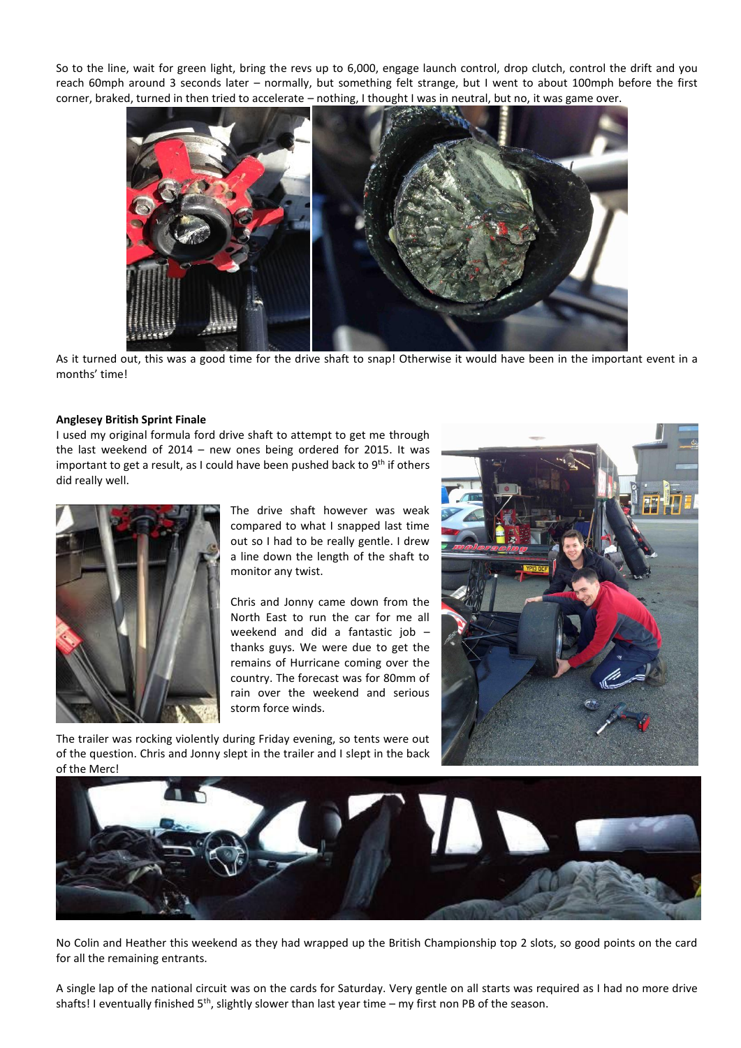So to the line, wait for green light, bring the revs up to 6,000, engage launch control, drop clutch, control the drift and you reach 60mph around 3 seconds later – normally, but something felt strange, but I went to about 100mph before the first corner, braked, turned in then tried to accelerate – nothing, I thought I was in neutral, but no, it was game over.



As it turned out, this was a good time for the drive shaft to snap! Otherwise it would have been in the important event in a months' time!

### **Anglesey British Sprint Finale**

I used my original formula ford drive shaft to attempt to get me through the last weekend of 2014 – new ones being ordered for 2015. It was important to get a result, as I could have been pushed back to  $9<sup>th</sup>$  if others did really well.



The drive shaft however was weak compared to what I snapped last time out so I had to be really gentle. I drew a line down the length of the shaft to monitor any twist.

Chris and Jonny came down from the North East to run the car for me all weekend and did a fantastic job – thanks guys. We were due to get the remains of Hurricane coming over the country. The forecast was for 80mm of rain over the weekend and serious storm force winds.



The trailer was rocking violently during Friday evening, so tents were out of the question. Chris and Jonny slept in the trailer and I slept in the back of the Merc!



No Colin and Heather this weekend as they had wrapped up the British Championship top 2 slots, so good points on the card for all the remaining entrants.

A single lap of the national circuit was on the cards for Saturday. Very gentle on all starts was required as I had no more drive shafts! I eventually finished  $5<sup>th</sup>$ , slightly slower than last year time – my first non PB of the season.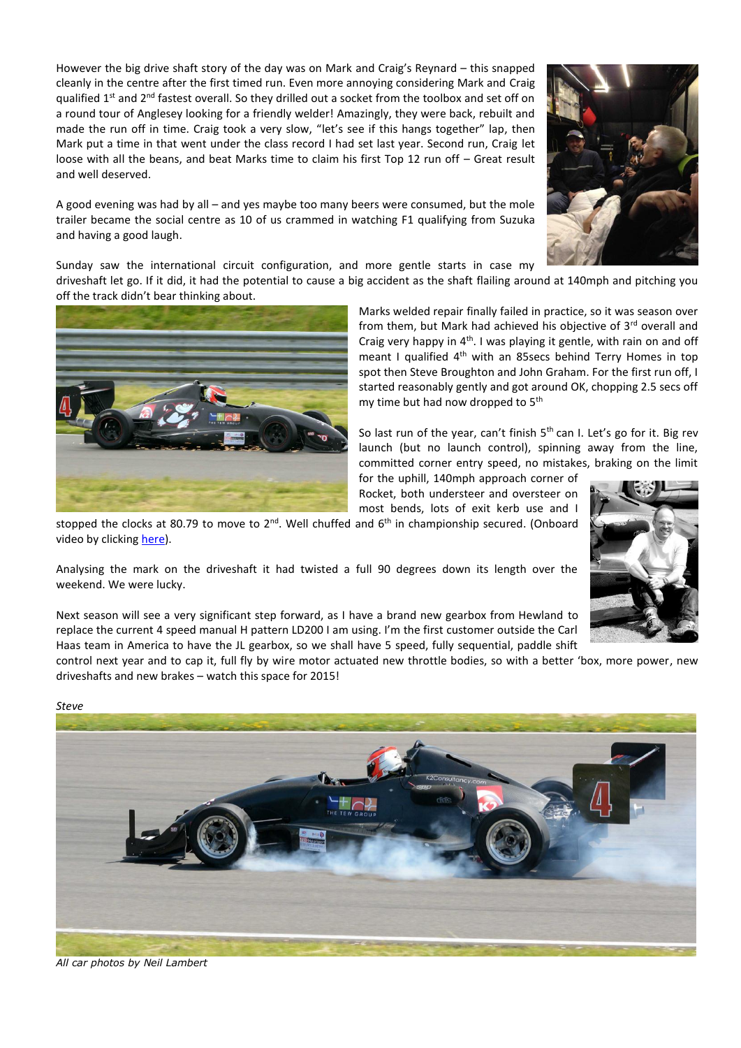However the big drive shaft story of the day was on Mark and Craig's Reynard – this snapped cleanly in the centre after the first timed run. Even more annoying considering Mark and Craig qualified 1<sup>st</sup> and 2<sup>nd</sup> fastest overall. So they drilled out a socket from the toolbox and set off on a round tour of Anglesey looking for a friendly welder! Amazingly, they were back, rebuilt and made the run off in time. Craig took a very slow, "let's see if this hangs together" lap, then Mark put a time in that went under the class record I had set last year. Second run, Craig let loose with all the beans, and beat Marks time to claim his first Top 12 run off – Great result and well deserved.

A good evening was had by all – and yes maybe too many beers were consumed, but the mole trailer became the social centre as 10 of us crammed in watching F1 qualifying from Suzuka and having a good laugh.

Sunday saw the international circuit configuration, and more gentle starts in case my

driveshaft let go. If it did, it had the potential to cause a big accident as the shaft flailing around at 140mph and pitching you off the track didn't bear thinking about.



Marks welded repair finally failed in practice, so it was season over from them, but Mark had achieved his objective of 3rd overall and Craig very happy in  $4<sup>th</sup>$ . I was playing it gentle, with rain on and off meant I qualified 4<sup>th</sup> with an 85secs behind Terry Homes in top spot then Steve Broughton and John Graham. For the first run off, I started reasonably gently and got around OK, chopping 2.5 secs off my time but had now dropped to 5<sup>th</sup>

So last run of the year, can't finish  $5<sup>th</sup>$  can I. Let's go for it. Big rev launch (but no launch control), spinning away from the line, committed corner entry speed, no mistakes, braking on the limit

for the uphill, 140mph approach corner of Rocket, both understeer and oversteer on most bends, lots of exit kerb use and I stopped the clocks at 80.79 to move to 2<sup>nd</sup>. Well chuffed and 6<sup>th</sup> in championship secured. (Onboard

Analysing the mark on the driveshaft it had twisted a full 90 degrees down its length over the weekend. We were lucky.

Next season will see a very significant step forward, as I have a brand new gearbox from Hewland to replace the current 4 speed manual H pattern LD200 I am using. I'm the first customer outside the Carl Haas team in America to have the JL gearbox, so we shall have 5 speed, fully sequential, paddle shift

control next year and to cap it, full fly by wire motor actuated new throttle bodies, so with a better 'box, more power, new driveshafts and new brakes – watch this space for 2015!



*All car photos by Neil Lambert*

video by clicking [here\)](https://www.youtube.com/watch?v=hDLP1UUt0K4&index=2&list=UUw-mS48mesUvbmruOdQc3iA).